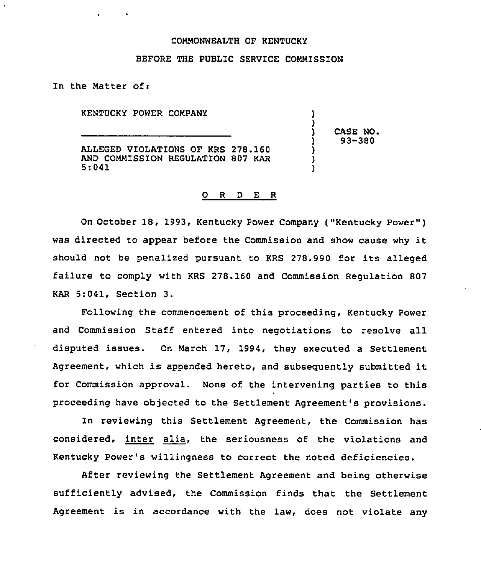# COMMONWEALTH OF KENTUCKY

# BEFORE THE PUBLIC SERVICE COMMISSION

In the Matter of:

KENTUCKY POWER COMPANY

ALLEGED VIOLATIONS OF KRS 278.160 AND COMMISSION REGULATION 807 KAR 5:041

) CASE NO.<br>
) 93-380 ) 93-380

) )<br>)

> ) )

# 0 R <sup>D</sup> E R

On October 18, 1993, Kentucky Power Company ("Kentucky Power" ) was directed to appear before the Commission and show cause why it should not be penalized pursuant to KRS 278.990 for its alleged failure to comply with KRS 278.160 and Commission Regulation 807 KAR 5:041, Section 3.

Following the commencement of this proceeding, Kentucky Power and Commission Staff entered into negotiations to resolve all disputed issues. On March 17, 1994, they executed a Settlement Agreement, which is appended hereto, and subsequently submitted it for Commission approval. None of the intervening parties to this proceeding have objected to the Settlement Agreement's provisions.

In reviewing this Settlement Agreement, the Commission has considered, inter alia, the seriousness of the violations and Kentucky Power's willingness to correct the noted deficiencies.

After reviewing the Settlement Agreement and being otherwise sufficiently advised, the Commission finds that the Settlement Agreement is in accordance with the law, does not violate any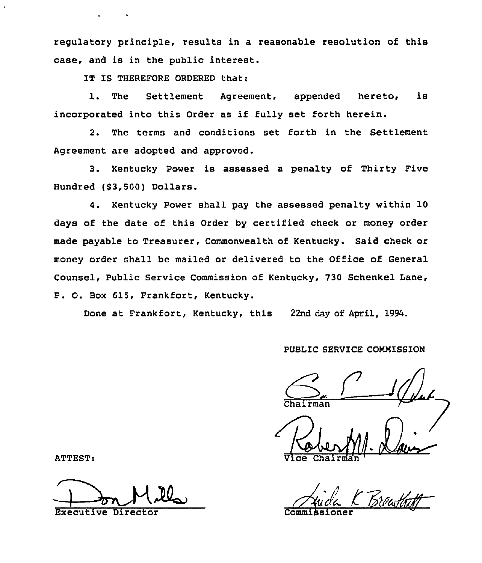regulatory principle, results in a reasonable resolution of this case, and is in the public interest.

IT IS THEREFORE ORDERED that:

l. The Settlement Agreement, appended hereto, is incorporated into this Order as if fully set forth herein.

2. The terms and conditions set forth in the Settlement Agreement are adopted and approved.

3. Kentucky Power is assessed a penalty of Thirty Five Hundred (\$3,500) Dollars.

4. Kentucky Power shall pay the assessed penalty within 10 days of the date of this Order by certified check or money order made payable to Treasurer, Commonwealth of Kentucky. Said check or money order shall be mailed or delivered to the Office of General Counsel, Public Service Commission of Kentucky, 730 Schenkel Lane, P. O. Box 615, Frankfort, Kentucky.

Done at Frankfort, Kentucky, this 22nd day of April, 1994.

# PUBLIC SERVICE COMMISSION

 $\mathcal{Q}_{\mu\nu}$ 

Vice Chairma

ATTEST:

Break Mill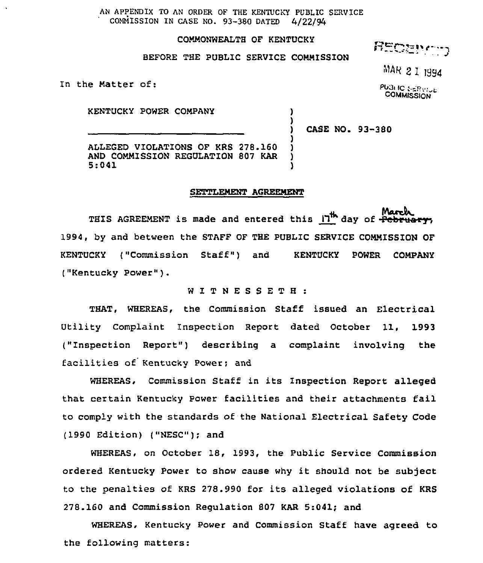AN APPENDIX TO AN ORDER OF THE KENTUCKY PUBLIC SERVICE COMMISSION IN CASE NO. 93-380 DATED 4/22/94

# COMMONWEALTH OF KENTUCKY

BEFORE THE PUBLIC SERVICE COMMISSION

**RECENCTS** 

COMMISSION

In the Matter of: PUBLIC SERVICE

KENTUCKY POWER COMPANY (1998)

CASE NO. 93-380

)

)

ALLEGED VIOLATIONS OF KRS 278.160 AND COMMISSION REGULATION 807 KAR 5:041 5:041 )

# SETTLEMENT AGREEMENT

THIS AGREEMENT is made and entered this  $\mathsf{I}^{\mathsf{th}}$  day of  $\overline{\mathsf{F}}$ ebruary, 1994, by and between the STAFF OF THE PUBLIC SERVICE COMMISSION OF KENTUCKY ("Commission Staff") and KENTUCKY POWER COMPANY ("Kentucky Power" ).

WITNESSETH

THAT, wHEREAs, the commission staff issued an Electrical Utility Complaint Inspection Report dated October 11, 1993 ("Inspection Report") describing a complaint involving the facilities of Kentucky Power; and

WHEREAS, Commission Staff in its Inspection Report alleged that. certain Kentucky Power facilities and their attachments fail to comply with the standards of the National Electrical Safety Code (1990 Edition) ("NESC"); and

WHEREAS, on October 18, 1993, the Public Service Commission ordered Kentucky Power to show cause why it should not be subject to the penalties of KRS 278.990 for its alleged violations of KRS 278.160 and Commission Regulation 807 KAR 5:041; and

wHEREAs, Kentucky power and Commission staff have agreed to the following matters: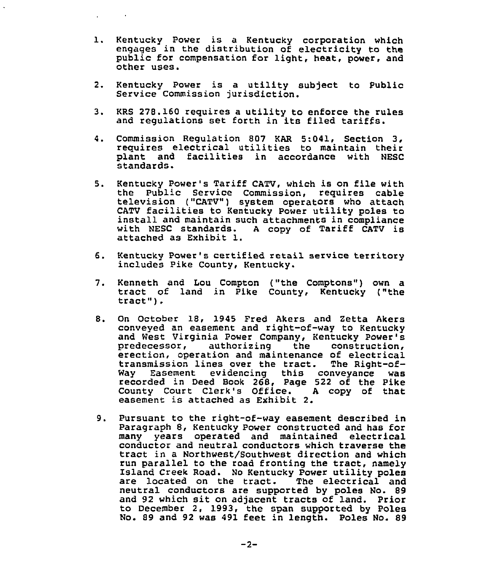- 1. Kentucky Power is <sup>a</sup> Kentucky corporation which engages in the distribution of electricity to the public for compensation for light, heat, power, and other uses.
- 2. Kentucky Power is a utility subject to Public Service Commission jurisdiction.
- 3. KRS 278.160 requires <sup>a</sup> utility to enforce the rules and regulations set forth in its filed tariffs.
- 4. Commission Regulation 807 KAR 5:041, Section 3, requires electrical utilities to maintain their plant and facilities in accordance with NESC standards.
- 5. Kentucky Power's Tariff CATV, which is on file with television ("CATV") system operators who attach CATV facilities to Kentucky Power utility poles to install and maintain such attachments in compliance with NESC standards. <sup>A</sup> copy of Tariff CATV is attached as Exhibit l.
- 6. Kentucky Power's certified retail service territory includes Pike County, Kentucky.
- 7. Kenneth and Lou Compton ("the Comptons") own a tract of land in Pike County, Kentucky ("the tract").
- 8. On October 18, 1945 Fred Akers and Zetta Akers conveyed an easement and right-of-way to Kentucky and West Virginia Power Company, Kentucky Power's erection, operation and maintenance of electrical transmission lines over the tract. The Right-of-Way Easement evidencing this conveyance was recorded in Deed Book 268, Page 522 of the Pike County Court Clerk's Office. <sup>A</sup> copy of that easement is attached as Exhibit 2.
- 9. Pursuant to the right-of-way easement described in Paragraph 8, Kentucky Power constructed and has for many years operated and maintained electrical conductor and neutral conductors which traverse the tract in a Northwest/Southwest direction and which<br>run parallel to the road fronting the tract, namely run parallel to the road fronting the tract, namely Island Creek Road. No Kentucky Power utility poles are located on the tract. The electrical and neutral conductors are supported by poles No. 89 and 92 which sit on adjacent tracts of land. Prior to December 2, 1993, the span supported by Poles No. 89 and 92 was 491 feet in length. Poles No. 89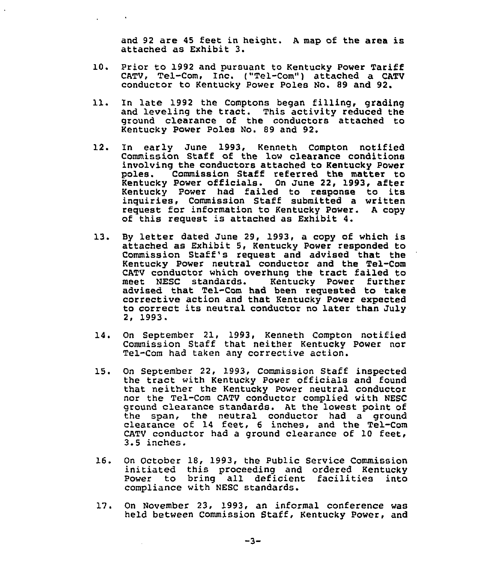and 92 are <sup>45</sup> feet in height. <sup>A</sup> map of the area is attached as Exhibit 3.

- 10. Prior to 1992 and pursuant to Kentucky Power Tariff CATV, Tel-Com, Inc. ("Tel-Com") attached a CATV conductor to Kentucky Power Poles No. 89 and 92.
- 11. In late 1992 the Comptons began filling, grading and leveling the tract. This activity reduced the ground clearance of the conductors attached to Kentucky Power Poles No. 89 and 92.
- 12. In early June 1993, Kenneth Compton notified Commission Staff of the low clearance conditions involving the conductors attached to Kentucky Power Commission Staff referred the matter to Kentucky Power offioials. On June 22, 1993, after Kentucky Power had failed to response to its inguiries, Commission Staff submitted a written request: for information to Kentucky Power. <sup>A</sup> copy of this request is attached as Exhibit 4.
- 13. By letter dated June 29, 1993, <sup>a</sup> copy of which is attached as Exhibit 5, Kentucky Power responded to Commission Staff's request and advised that the Kentucky Power neutral conductor and the Tel-Com CATV conductor which overhung the tract failed to<br>meet NESC standards. Kentucky Power further meet NESC standards. Kentucky Power further<br>advised that Tel-Com had been requested to take corrective action and that Kentucky Power expected to correct its neutral conductor no later than July 2, 1993.
- 14. On September 21, 1993, Kenneth Compton notified Commission Staff that neither Kentucky Power nor Tel-Com had taken any corrective action.
- 15. On September 22, 1993, Commission Staff inspected the tract with Kentucky Power officials and found that neither the Kentucky Power neutral conductor nor the Tel-Com CATV conductor complied with NESC ground clearance standards. At the lowest point of the span, the neutral conductor had a groun clearance of 14 feet, <sup>6</sup> inches, and the Tel-Com CATV conductor had a ground clearance of 10 feet,<br>3.5 inches.
- 16. On October 18, 1993, the Public Service Commission initiated this proceeding and ordered Kentucky Power to bring all deficient facilities into compliance with NESC standards.
- 17. On November 23, 1993, an informal conference was held between Commission Staff, Kentucky Power, and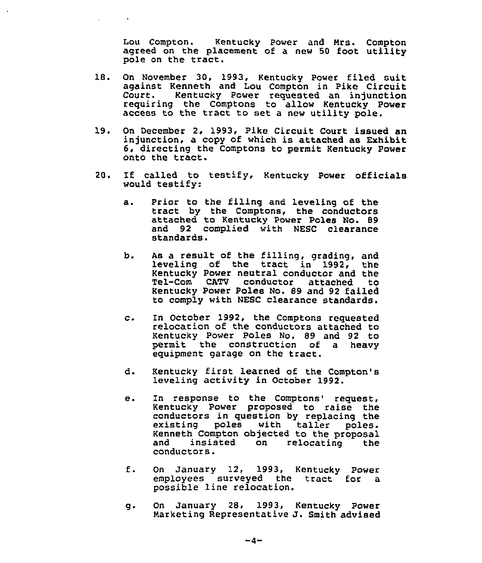Lou Compton. Kentucky Power and Mrs. Compton agreed on the placement of a new <sup>50</sup> foot utility pole on the tract.

- 18. On November 30, 1993, Kentucky Power filed suit against Kenneth and Lou Compton in Pike Circuit Kentucky Power requested an injunction requiring the Comptons to allow Kentucky Power access to the tract to set <sup>a</sup> new utility pole.
- 19. On December 2, 1993, Pike Circuit Court issued an injunction, a copy of which is attached as Exhibit 6, directing the Comptons to permit Kentucky Power onto the tract.
- 20. If called to testify, Kentucky Power officials would testify:
	- Prior to the filing and leveling of the а. tract by the Comptons, the conductors attached to Kentucky Power Poles No. 89 and 92 complied with NESC clearance standards.
	- b. As a result of the filling, grading, and leveling of the tract in 1992, Kentucky Power neutral conductor and the Tel-Com CATV conductor attached Kentucky Power Poles No. B9 and 92 failed to comply with NESC clearance standards.
	- $C$ . In October 1992, the Comptons requested relocation of the conductors attached to Kentucky Power Poles No. 89 and 92 to permit the construction of a heavy equipment garage on the tract.
	- d. Kentucky first learned of the Compton's leveling activity in October 1992.
	- In response to the Comptons' request,  $e_{\bullet}$ Kentucky Power proposed to raise the conductors in question by replacing the existing poles with taller poles. Kenneth Compton objected to the proposal and insisted on relocating the and insisted<br>conductors.
	- f. On January 12, 1993, Kentucky Power employees surveyed the tract for a possible line relocation.
	- g. On January 2S, 1993, Kentucky POwer Marketing Representative J. Smith advised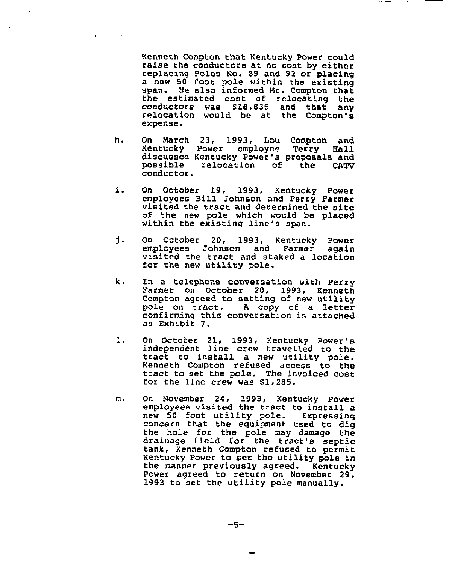Kenneth Compton that Kentucky Power could raise the conductors at no coat by either replacing Poles No. 89 and 92 or placing a new 50 foot pole within the existing span. He also informed Mr. Compton that the estimated cost of relocating the<br>conductors was \$18,835 and that any relocation would be at the Compton's expense.

- h. On March 23, 1993, Lou Compton and<br>Kentucky Power employee Terry Hall Kentucky Power employee Terry discussed Kentucky Power's proposals and possible relocation of the CATV conductor
- i. On October 19, 1993, Kentucky Power employees Bill Johnson and Perry Farmer visited the tract and determined the site of the new pole which would be placed within the existing line's span.
- j. On October 20, 1993, Kentucky Power<br>employees Johnson and Farmer again visited the tract and staked a location for the new utility pole.
- k. In a telephone conversation with Perry Farmer on October 20, 1993, Kenneth Compton agreed to setting of new utility pole on tract. <sup>A</sup> copy of <sup>a</sup> letter confirming this conversation is attached as Exhibit 7.
- 1. On October 21, 1993, Kentucky Power's<br>independent line crew travelled to the tract to install a new utility pole. Kenneth Compton refused access to the tract to set the pole. The invoiced cost for the line crew was \$1,285.
- $m<sub>1</sub>$ On November 24, 1993, Kentucky Power employees visited the tract to install a new 50 foot utility pole. Expressin concern that the eguipment used to dig the hole for the pole may damage the drainage field for the tract's septic tank, Kenneth Compton refused to permit Kentucky Power to set the utility pole in the manner previously agreed. Kentucky<br>Power agreed to return on November 29, 1993 to set the utility pole manually.

$$
-5-
$$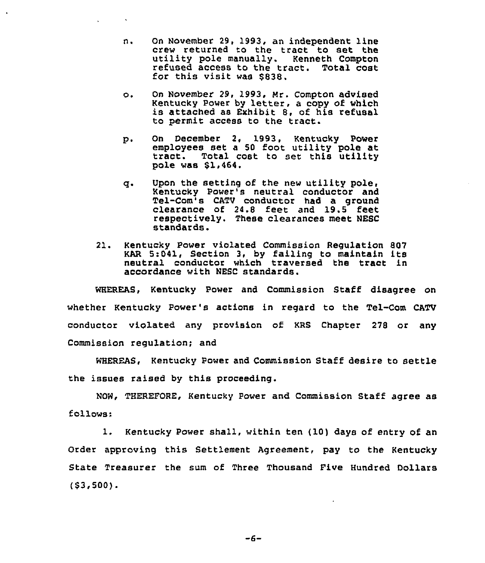- On November 29, l993, an independent line n. crew returned to the tract to set the utility pole manually. Kenneth Compton re5used access to the tract. Total cost for this visit was \$838.
- On November 29, 1993, Mr. Compton advised  $\circ$ . Kentucky Power by letter, <sup>a</sup> copy of which is attached as Exhibit 8, of his refusal to permit access to the tract.
- p. On December 2, 1993, Kentucky Power employees set a 50 foot utility pole at tract. Total cost to set this utility pole was \$1,464.
- g. Upon the setting of the new utility pole, Kentucky Power's neutral conductor and Tel-Com's CATV conductor had a ground clearance of 24.8 feet and 19.5 feet respectively. These clearances meet NESC standards.
- 21. Kentucky Power violated Commission Regulation 807 KAR 5:041, Section 3, by failing to maintain its neutral conductor which traversed the tract in accordance with NESC standards.

WHEREAS, Kentucky Power and Commission Staff disagree on whether Kentucky Power's actions in regard to the Tel-Com CATV conductor viOlated any provision of KRS Chapter 278 or any Commission regulation; and

WHEREAS, Kentucky Power and Commission Staff desire to settle the issues raised by this proceeding.

NOW, THEREFORE, Kentucky Power and Commission Staff agree as follows:

l. Kentucky Power shall, within ten (10) days of entry of an Order approving this Settlement Agreement, pay to the Kentucky State Treasurer the sum of Three Thousand Pive Hundred Dollars  $(53,500)$ .

 $-6-$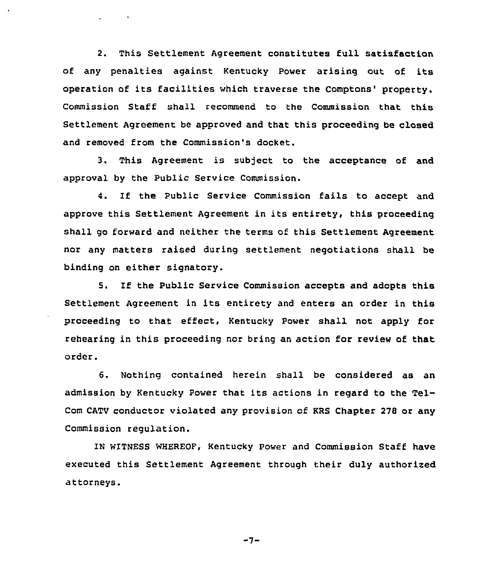2. This Settlement Agreement constitutes full satisfaction of any penalties against Kentucky Power arising out of its operation of its facilities which traverse the Comptons' property. Commission Staff shall recommend to the Commission that, this Settlement Agreement be approved and that this proceeding be closed and removed from the Commission's docket.

3. This Agreement is subject to the acceptance of and approval by the Public Service Commission.

4. If the Public Service Commission fails to accept and approve this Settlement Agreement in its entirety, this proceeding shall go forward and neither the terms of this Settlement Agreement nor any matters raised during settlement negotiations shall be binding on either signatory.

5. If the Public Service Commission accepts and adopts this Settlement Agreement in its entirety and enters an order in this proceeding to that effect. Kentucky Power shall not apply for rehearing in this proceeding nor bring an action for review of that order.

6. Nothing contained herein shall be considered as an admission by Kentucky Power that its actions in regard to the Tel-Com CATV conductor violated any provision of KRS Chapter 278 or any Commission regulation.

IN WITNESS WHEREOF, Kentucky Power and Commission Staff have executed this Settlement Agreement through their duly authorized attorneys.

 $-7-$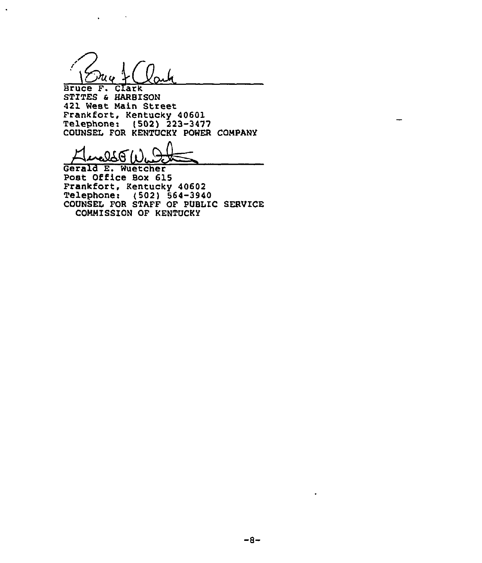Bruce F. Clark STITES 4 HARBISON 421 West Main Street Frankfort, Kentucky 40601 Telephone: (502) 223-3477

COUNSEL FOR KENTUCKY POWER COMPANY COUNCIL CON MANCO<br>Hereld E. Wuetche

Post Office Box 615 Frankfort, Kentucky 40602 Telephone: (502) 564-3940 COUNSEL FOR STAFF OF PUBLIC SERVICE COMMISSION OF KENTUCKY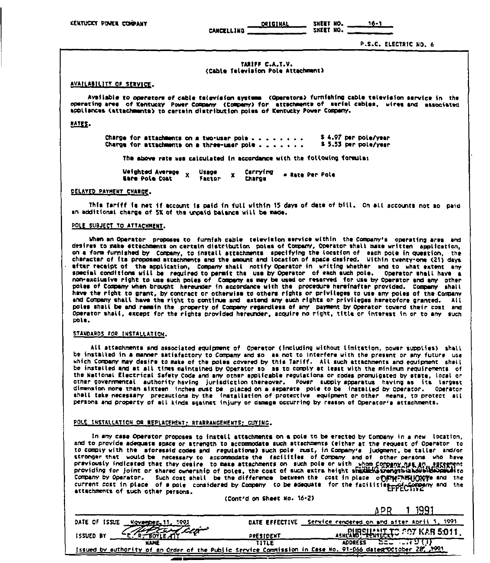**ORIGINAL CANCELLING** 

SHEET NO.  $16 - 1$ SHEET NO.

P.S.C. ELECTRIC NO. 6

#### TARIFF C.A.T.V. (Cable Television Pole Attachment)

#### AVAILABILITY OF SERVICE.

Available to operators of cable television systems. (Operators) furnishing cable television service in the operating area of Kentucky Power Company (Company) for attachments of serial cables, wires and associated appliances (attachmenta) to certain distribution poles of Kentucky Power Company.

#### RATES.

\$4.97 per pola/vear Charge for attachments on a two-user pole . . . . . . . . Charge for attachments on a three-user pole . . . . . . . \$5.53 per pole/year

The above rate was calculated in accordance with the following formula:

Weighted Average x Carrying Uzage  $\mathbf{x}$ - Rate Per Pole **Eare Pole Cost** Factor **Charge** 

#### DELAYED PAYMENT CHARGE.

This Tariff is net if account is paid in full within 15 days of date of bill. On all accounts not so paid an additional charge of 5% of the unpaid balance will be made.

#### POLE SUBJECT TO ATTACHMENT.

When an Operator proposes to furnish cable television service within the Company's operating area and desires to make ettechments on certain distribution poles of Company, Operator shall make written application, on a form furnished by Company, to install attechments specifying the location of each pole in question, the character of its proposed attachments and the amount and location of space desired. Within twenty-one (21) days after receipt of the application, Company shall notify Operator in writing whether and to what extent any special conditions will be required to permit the use by Operator of each such pole. Operator shall have a non-exclusive right to use such poles of Company as may be used or reserved. for use by Operator and any other poles of Company when brought hereunder in accordance with the procedure hereinafter provided. Company shall have the right to grant, by contract or otherwise to others rights or privileges to use any poles of the Company and Company shall have the right to continue and extend any such rights or privileges heretofore granted. All poles shall be and remain the property of Company regardless of any payment by Operator towerd their cost and Operator shall, except for the rights provided hereunder, acquire no right, title or interest in or to any such pole.

#### STANDARDS FOR INSTALLATION.

All attachments and associated equipment of Operator (including without limitation, power supplies) shall be installed in a manner satisfactory to Company and so as not to interfere with the present or any future use which Company may desire to make of the poles covered by this Tariff. All such attachments and equipment shail be installed and at all times swintsined by Operator so as to comply at least with the minimum requirements of the National Electrical Safety Code and any other applicable regulations or codes promulgated by state, local or other governmental authority having jurisdiction thereover. Power supply apparatus having as its largest dimension more than sixteen inches must be placed on a separate pole to be installed by operator. Operator shall take necessary precautions by the installation of protective equipment or other means, to protect all persons and property of ell kinds against injury or damage occurring by reason of Operator's attachments.

#### POLE INSTALLATION OR REPLACEMENT: REARRANGEMENTS; GUYING.

In any case Operator proposes to instell attechments on a pole to be erected by Company in a new location, and to provide adequate space or atrenath to accommodate such attachments (either at the request of Operator, to to comply with the aforesaid codes and regulations) such pole must, in Company's judgment, be taller and/or stronger that would be necessary to accommodate the facilities of Company and of other persons who have previously indicated that they desire to make attachments on such pole or with whom company has an agreement<br>providing for joint or shared ownership of poles, the cost of such extra height shaking parametrisation and to Company by Operator. Such cost shall be the difference between the cost in place of strains (the current cost in place of a pole considered by Company to be adequate for the faciliting production and the attachments of such other persons.

(Cont'd on Sheet No. 16-2)

1 1991 APR. DATE EFFECTIVE Service rendered on and after Abril 1, 1991 DATE OF ISSUE November, 11, 1991  $\mathscr{P}$ FOTLE AT Leg **PIIRSHAMILATO POT KAR 5:011.** ۷ ISSUED BY PRESIDENT **SECTION DI (1) NAME ADDRESS** TITLE Issued by authority of an Order of the Public Service Commission in Case No. 91-066 dates October 28, 1991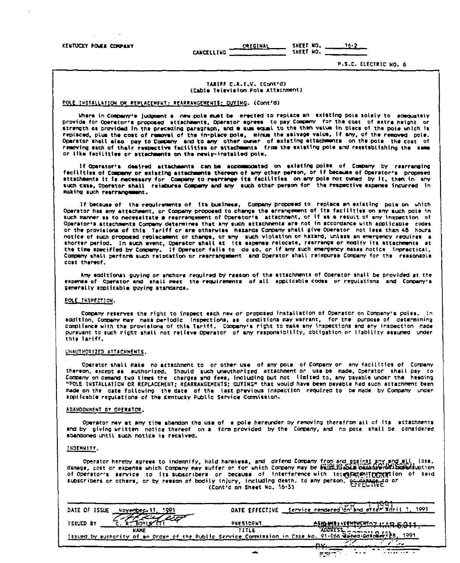ORIGINAL SHEET NO.  $16 - 2$ CANCELLING SHEET NO.

P.S.C. ELECTRIC NO. 6

#### TARIFF C.A.T.V. (Cont'd) (Cable Television Pole Attachment)

#### POLE INSTALLATION OR REPLACEMENT: REARRANGEMENTS: GUYING. (Cont'd)

Where in Company's judgment a new pole must be erected to replace an existing pole solely to adequately provide for Operator's proposed ettachments, Operator agrees to pay Company for the cost of extra height or strength as provided in the preceding paragraph, and a sum equal to the then value in place of the pole which is replaced, plus the cost of removal of the in-place pole, minus the salvage value, if any, of the removed pole. Operator shall also pay to Company and to any other owner of existing attachments on the pole the cost of<br>removing each of their respective facilities or attachments, from the existing pole and restablishing the same or like facilities or attachments on the newly-installed pole.

If Operator's desired attachments can be accommodated on existing-poles of Company by rearranging fecilities of Company or existing attachments thereon of any other person, or if because of Operator's proposed attachments it is necessary for Company to rearrange its facilities on any pole not owned by it, then in any such case, Operator shall relatures Company and any such other person for the respective expense incurred in making such rearrangement.

If because of the requirements of its business, Company proposed to replace an existing pole on which Operator has any attachment, or Company proposed to change the errangement of its facilities on any such pole in such manner as to necessitate a rearrangement of Operator's attachment, or if as a result of any inspection of Operator's attachments Company determines that any such attachments are not in accordance with applicable codes<br>or the provisions of this Tariff or are otherwise hazards Company shall give Operator not less than 48 hours notice of such proposed replacement or change, or any such violation or hazard, unless an emergency requires a<br>shorter period. In such event, Operator shall at its expense relocate, restrange or modify its attachments at the time specified by Company. If Operator fails to do so, or if any such emergency makes notice impractical, Company shall perform such relocation or rearrangement and Operator shall reimburse Company for the reasonable cost thereof.

Any edditional guying or anchors required by resson of the sttachments of Operator shall be provided at the expense of Operator and shall meet the requirements of all applicable codes or regulations and Company's generally applicable guying standards.

#### POLE INSPECTION.

Company reserves the right to inspect each new or proposed installation of Operator on Company's poles. In addition, Company may make periodic inspections, as conditions may warrant, for the purpose of determining compliance with the provisions of this Tariff. Company's right to make any inspections and any inspection made pursuant to such right shail not relieve Operator of any responsibility, obligation or liability assumed under this fariff.

#### UHAUTHORIZED ATTACHMENTS.

Operator shall make no attachment to or other use of any pole of Company or any facilities of Company thereon, except as suthorized. Should such unsuthorized attachment or use be made, Operator shall pay to Company on demand two times the charges and fees, including but not limited to, any payable under the heading<br>"POLE INSTALLATION OR REPLACEMENT; REARRANGEMENTS; GUTING" that would have been payable had such attachment been made on the cate following the date of the last previous inspection required to be made by Company under applicable regulations of the Kentucky Public Service Commission.

#### ABANDONNENT BY OPERATOR.

Operator may at any time abandon the use of a pole hereunder by removing therefrom all of its attachments and by giving written notice thereof on a form provided by the Company, and no pole shall be considered abandoned until such notice is received.

#### INDEMNITY.

Operator hereby agrees to indemnify, hold harmless, and defend Company from and against any and all loss,<br>damage, cost or expense which Company may suffer or for which Company may be suffelifs of a bassistendate potion of operator's service to its subscribers or because of interference.with telegratestrophytogention of said subscribers or others, or by resson of bodily injury, including death, to any person, expressive or

| DATE OF ISSUE<br>November 41                                                                                         |           | DATE EFFECTIVE Service rendered on and otter xdril 1.<br>1991 |
|----------------------------------------------------------------------------------------------------------------------|-----------|---------------------------------------------------------------|
| ISSUED BY                                                                                                            | PRESIDENT | MILLENT STOT KAR 6.011.                                       |
| <b>NAME</b><br>Issued by authority of an Order of the Public Service Commission in Case No. 91-066 Bated Gorober 18. | 1111 E    | 1991                                                          |
|                                                                                                                      |           |                                                               |
|                                                                                                                      |           | or marine and                                                 |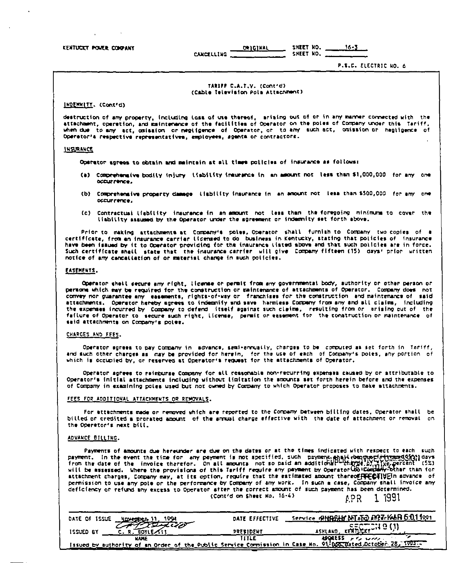# KENTUCKY POWER COMPANY

SHEET NO. **ORIGINAL** CANCELLING SHEET NO.

P.S.C. ELECTRIC NO. 6

 $16 - 3$ 

#### TARIFF C.A.T.V. (Contrd) (Cable Television Pola Attachment)

INDENNITY, (Cont'd)

destruction of any property, including loss of use thereof, arising out of or in any manner connected with the<br>attachment, operetion, and maintenance of the facilities of Operator on the poles of Company under this Tariff, when due to any act, oniasion or negligence of Operator, or to any such act, onission or healinence of Operatoria respective representatives, employees, agenta or contractors.

#### INSURANCE

Operator astees to obtain and maintein at all times policies of insurance as follows:

- (a) Comprehensive bodily injury liability insurance in an assount not less than \$1,000,000 for any one contrace.
- (b) Comprehensive property damage liability insurance in an amount not less than \$500,000 for any one occurrence.
- (c) Contractual liability insurance in an amount not less than the foregoing minimums to cover the liability assumed by the Operator under the spreement or indemnity set forth above.

Prior to making attachments at Company's poles, Operator shall furnish to Company two-cooles of a certificate, from an insurance carrier licensed to do business in Kentucky, stating that policies of insurance have been issued by it to Operator providing for the insurance (isted above and that such policies are in force. Such certificate shall state that the insurance carrier will give Company fifteen (15) days' prior written notice of any cancallation of or material change in such policies.

#### EASEMENTS.

Operator shell secure any right, license or permit from any governmental body, authority or other person or persons which may be required for the construction or maintenance of attachments of Operator. Company does not convey nor guarantee any easements, rights-of-way or franchises for the construction and maintenance of said attachments. Operator hereby agrees to indemnify and save harmless Company from any and all claims, including the expenses incurred by Company to defend (tself against such claims, resulting from or arising out of the failure of Operator to secure such right, license, permit or essement for the construction or maintenance of said attachments on Company's poles.

#### CHARGES AND FEES.

Operator agrees to pay Company in advance, semi-ennually, charges to be computed as set forth in Tariff, and such other charges as 'may be provided for herein, for the use of each of Company's poles, any portion of which is occupied by, or reserved at Operator's request for the attachments of Operator.

Operator agrees to reisturse Company for all reasonable non-recurring expenses caused by or sttributable to Operator's initial attachments including without limitation the amounts set forth herein before and the expenses of Company in examining poles used but not owned by Company to which Operator proposes to make attachments.

#### FEES FOR ADDITIONAL ATTACKMENTS OR REMOVALS.

For attachments made or removed which are reported to the Company between billing dates. Operator shall be billed or credited a prorated amount of the arrus) charge effective with the date of attachment or removal on the Operator's next bill.

#### ADVANCE BILLING.

Payments of amounts due hereunder are due on the dates or at the times indicated with respect to each such payment. In the event the time for any payment is not specified, such payment, apart is not section. The event the time for any payment is not specified, such payment, apart compressions of the invoice there for on all amo attachment charges, Company may, at its option, require that the estimated amount thereogreently in advance of permission to use any pote or the performance by Company of any work. In such a case, Company shall invoice any deficiency or refund any excess to Operator after the correct amount of such payment has been determined. (Cont'd on Sheet No. 16-4)

APR 1 1991

| DATE OF ISSUE                                                                                               | DATE EFFECTIVE | <u>Service geHRSHY ANT AND ANZEKAAR 5:011991</u> |
|-------------------------------------------------------------------------------------------------------------|----------------|--------------------------------------------------|
| ISSUED BY                                                                                                   | PRESIDENT      | $\frac{c}{\kappa c}$<br>ASHLAND.                 |
| KAJE                                                                                                        | TITLE          | ABORESS AND WOOD                                 |
| Issued by authority of an Order of the Public Service Commission in Case No. 91-065 Bated Detober 28, 1903. |                |                                                  |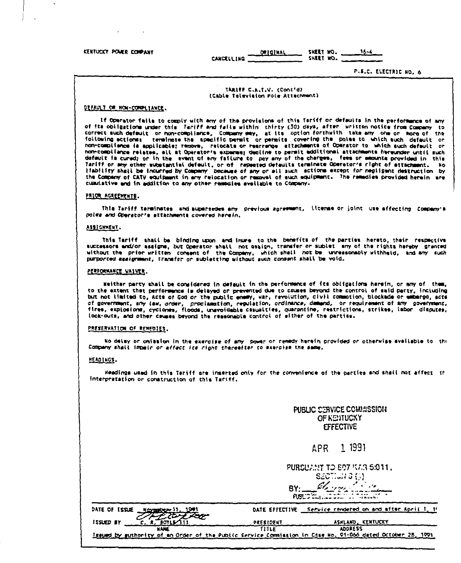KENTUCKY POWER COMPANY

 $\Delta$ 

ORIGINAL SHEET NO. **CANCELLING** 

P.S.C. ELECTRIC NO. 6

16.4

#### TARIFF C.A.T.V. (Cont'd) (Cable Tolevision Pole Attachment)

### DEFAULT OR HOW-COMPLIANCE.

If Operator fails to comply with any of the provisions of this Tariff or defaults in the performance of any of its obligations under this facili and fails within thirty (30) days, after written notice from Company to correct such default or non-compliance, Company way, at its option forthwith take any one or more of the following actionss terminate the specific permit or permits covering the poles to which such default or non-compliance is applicable; recove, relocate or rearrange attachments of Operator to which such default or non-compliance relates, all at Operator's expense; decline to permit additional attachments hereunder until such datault is cursd; or in the event of any failure to pay any of the charges. fees or amounts provided in this Tariff or may other substantial default, or of repeated defaults terminate Operator's right of attachment. Wo Hability shall be incurred by Company Docause of any or all such sotions except for negligent destruction by the Company of CATV equipment in any relocation or removal of such equipment. The remedies provided herein are cumulative and in addition to any other remodies available to Company-

#### PRICE AGREEMENTS.

This Tariff terminates and supersedes any previous agressent, license or joint use affecting Company's Doles and Operator's attachments covered herein.

#### ASSICHMENT.

This Tariff shall be binding upon and inure to the benefits of the parties hereto, their respective successors and/or assigns, but Operator shall not assign, transfer or sublet any of the rights hereby granted without the prior written comment of the Company, which shall not be unreasonably withheld, and any such purported assignment, transfer or subletting without such consent shall be void.

# PERFORMANCE MAIVER.

Heither party shall be considered in default in the performance of its obligations herein, or any of them, to the extent that performance is delayed or prevented due to causes beyond the control of said party, including but not limited to, Acts of God or the public enemy, war, revolution, civil commotion, blockade or embargo, acts of government, any law, order, proclamation, regulation, ordinance, damand, or requirement of any government,<br>fires, explosions, cyclones, floods, unavoidable casualties, quarantine, restrictions, strikes, labor disputes, lock-outs, and other causes beyond the reasonable control of sither of the parties.

#### PRESERVATION OF REMEDIES.

No delay or omission in the exercise of any power or remedy herein provided or otherwise svailable to the Company shall impair or affect its right thereafter to exercise the same.

#### HEADINGS.

Headings usad in this Tariff are inserted only for the convenience of the parties and shall not affect th interpretation or construction of this Tariff.

> **PUBLIC CERVICE COMMISSION** OF KENTUCKY **FFFECTIVE**

#### **APR** 1 1991

PURSUANT TO 807 ISAR 5.011.

SECTION B (5)  $\frac{g_1}{\log(2\pi)}$ B۲۰

| DATE OF ISSUE<br>Z                                                                                          |           | DATE EFFECTIVE Service rendered on and after April 1, 1' |
|-------------------------------------------------------------------------------------------------------------|-----------|----------------------------------------------------------|
| issued by                                                                                                   | PRESIDENT | ASHLAND KENTUCKY                                         |
| <b>NAME</b>                                                                                                 | TITLF     | <b>ADDRESS</b>                                           |
| Issued by suthority of an Order of the Public Service Commission in Case No. 01-066 dated October 28, 1991. |           |                                                          |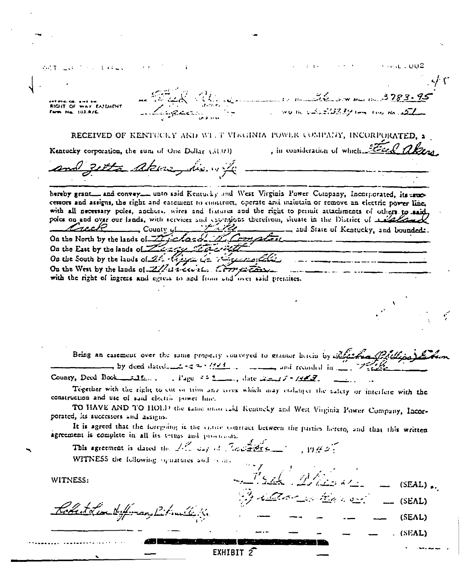of The Control of Gallery 1. 16 22 W W W 10 3783. **RIGHT OF WAY EATLAINT** WORK SENSISS AT THE RIGHT OF REAL AST Farm No. 103-R/E RECEIVED OF KENTUCKY AND WITT VIRGINIA POWER COMPANY, INCORPORATED. 3 , in consideration of which Fired also Kentucky corporation, the sum of One Dollar (51.00). getta akuz his of hereby grant and convey into said Kentucky and West Virginia Power Company, Incorporated, its same cenors and assigns, the right and easement to construct, operate and maintain or remove an electric power line. with all necessary poles, anchors, wires and fixtures and the right to permit attachments of others to said poles on and over our lands, with services and exemplons therefrom, situate in the District of Allen <u>- Juli 121</u> Creck  $\Box$  County of  $\Box$ .........., and State of Kentucky, and boundeds. On the North by the lands of Time hands M. Comaton On the East by the lands of The regular the On the South by the lands of 24 River 62 16 regular control On the West by the lands of ZZ at except. Correspondent with the right of ingress and egress to and from and over said premises. Being an easement over the same property conveyed to granter herein by Alaskand  $\rightarrow$  by deed dated  $\rightarrow$  3 as  $\frac{1}{2}$  .  $\rightarrow$   $\rightarrow$   $\rightarrow$  and recorded in  $\rightarrow$ County, Deed Book  $\ldots$ , Page  $\pm 5$ , Jate  $\pm \ldots$ ,  $\pm 1$ Together with the right to cut or trim any trees which may endanger the safety or interfere with the construction and use of said electric power line. TO HAVE AND TO HOLD the same mate said Kentucky and West Virginia Power Company, Incorporated, its successors and assigns. It is agreed that the foregoing is the catter contract between the parties hereto, and that this written agreement is complete in all its terms and providents. This agreement is dated the 1. The day of The diagnose  $19.42.$ WITNESS the following signatures and source WITNESS:  $(SEAL)$ . San Maria Soll (SEAL) Robert Lear Hilfman, Bilinille K.  $(SEAL)$  $(SEAL)$ EXHIBIT 2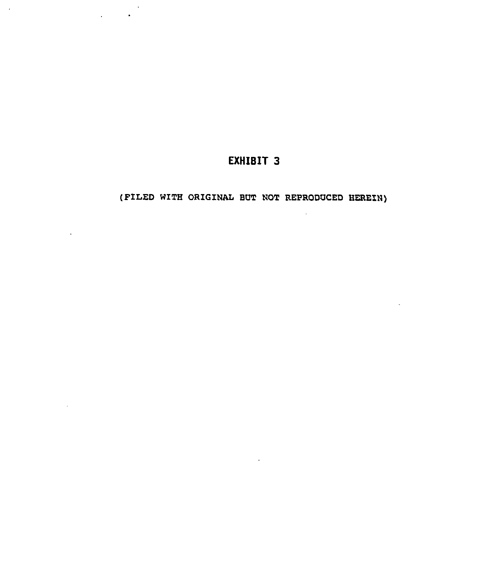# EXHIBIT 3

 $\sim 10^7$ 

(PILED WITH ORIGINAL BUT NOT REPRODUCED HEREIN)

 $\sim 10$ 

 $\sim$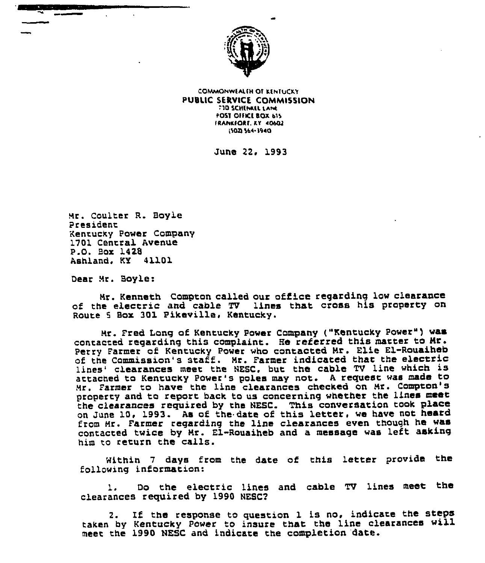

COMMOHWLALIH Of RLHTOCRT PUBLIC SERVICE COMMISSION **TID SCHENKEL LANE** POST OFFICE BOX 615 IRANKFORE. KY 40602 15021564-3940

June 22. 1993

Rr. coulter R. Boyle Presioent Kentucky Power Company 1701 Central Avenue P.Q. Box 1428 Ashland. KY 41101

Dear Mr. Boyle:

Nr. Kenneth Compton called our office regarding low clearance of the electric and cable TV lines that cross his property on Route 5 Box 301 Pikeville, Kentucky.

Nr. Fred Long of Kentucky power Company ("Kentucky power") was contacted regarding this complaint. He referred this matter to Mr. perry Farmer of Kentucky power who contacted Nr. Elle El-Rouaiheb of the Commission's staff. Mr. Farmer indicated that the electric lines' clearances meet the NESC, but the cable TV line which is attached to Kentucky Power's poles may not. <sup>A</sup> request was made to Mr. Farmer to have the line clearances checked on Mr. Compton's property and to report back to us concerning whether the lines meet the ciearances required by the NESC. This conversation took place on June 10, 1993. As of the date of this letter, we have not heard from Mr. Farmer regarding the line clearances even though he was contacted twice by Nr. El-Rouaiheb and a message was left asking him co return the calls.

Within 7 days from the date of this letter provide the fo1 lowing information:

1. Do the electric lines and cable TV lines meet the clearances required by 1990 NESC2

2. If the response to question 1 is no, indicate the steps taken by Kentucky Power to insure that the line clearances will meet the 1990 NESC and indicate the completion date.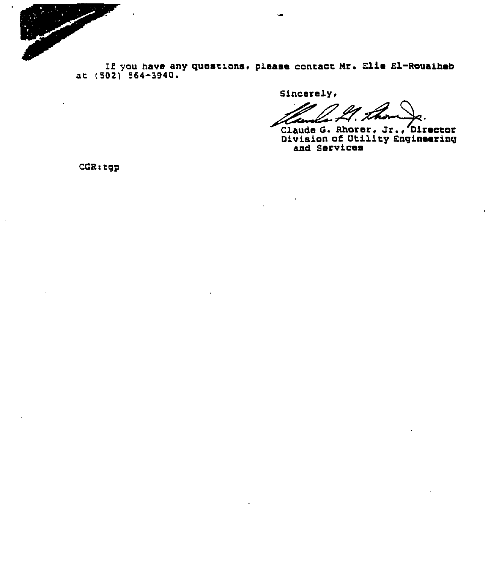

If you have any questions, please contact Mr. Elle El-Rouaiheb at (502) 564-3940.

Sincerely,

IZ.

Claude G. Rhorer, Jr., Director<br>Division of Utility Engineering<br>and Services

CGR:tgp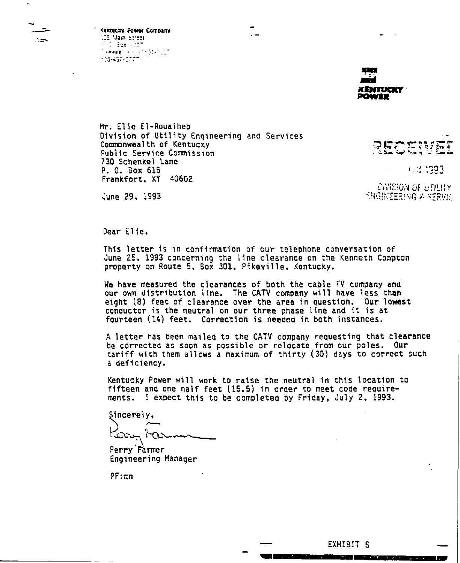Kentucky Power Company us Main etreet<br>Film Edx (F127) Mikewine, 1991, 1991, 1992<br>1995–1997, 1997

 $\sim$ 

**CENTUERY** юмтэ

Y (LIITU AO KOIZIWG)<br>DIVERZING A SERVIC

**1. 3 1393** 

**RECER** 

Elie El-Rouaiheb Division of Utility Engineering and Services Commonwealth of Kentucky Public Service Commission 730 Schenkel Lane P. 0. Box 615 Frankfort, KY 40602

June 29, 1993

0ear Elle.

This letter is in confirmation of our telephone conversation of June 25, 1993 concerning the line clearance on the Kenneth Compton property on Route 5, Box 301, Pikeville, Kentucky.

We have measured the clearances of both the cable TV company and our own distribution line. The CATV company will have less than eight (8) feet of clearance over the area in question. Our lowest conductor is the neutral on our three phase line and it is at fourteen ( 14) feet. Correction is needed in both instances.

<sup>A</sup> letter has been mailed to the CATV company requesting that clearance be corrected as soon as possible or relocate from our poles. Our tariff with them allows <sup>a</sup> maxtmum or thirty (30) days to correct such a deficiency.

Kentucky Power will work to raise the neutral in this location to fifteen and one half feet ( 15.5) in order to meet code requirements. I expect this to be completed by Friday, July 2, 1993.

Sincerely, متمات

Perry Farmer Engineering Manager

PF:mn

EXHIBIT 5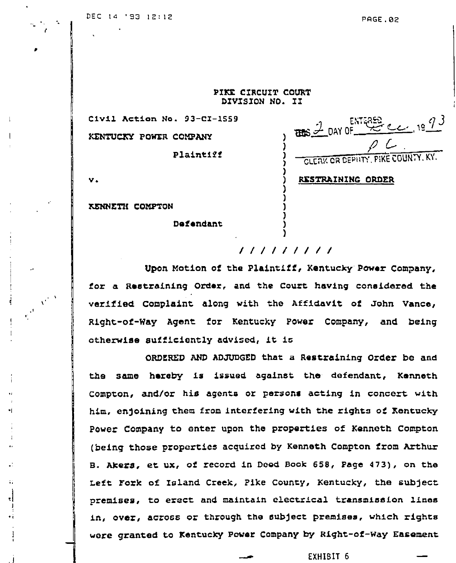$\frac{2}{\text{max}}$   $\frac{2}{\sqrt{2}}$  DAY OF  $\frac{\text{EMT625}}{2}$  e e 19  $\frac{73}{2}$ 

**CLEAK OR DEPILT** 

RESTRAINING ORDER

PIKE CIRCUIT COURT DIVISION NO. II

Civil Action No. 93-CI-1559 KENTUCKY POWER COMPANY

Plaintiff

| I |   |  |
|---|---|--|
|   | ٧ |  |

KENNETH COMPTON

Defendant

# 111111111

Upon Motion of the Plaintiff, Kentucky Power Company, for a Restraining Order, and the Court having considered the verified Complaint along with the Affidavit of John Vance, Right-of-Way Agent for Kentucky Power Company, and being otherwise sufficiently advised, it is

ORDERED AND ADJUDGED that a Restraining Order be and the same hereby is issued against the defendant, Kenneth Compton, and/or his agents or persons acting in concert with him, enjoining them from interfering with the rights of Kentucky Power Company to enter upon the properties of Kenneth Compton (being those properties acquired by Kenneth Compton from Arthur B. Akers, et ux, of record in Deed Book 658, Page 473), on the Left Fork of Island Creek, Pike County, Kentucky, the subject premises, to erect and maintain electrical transmission lines in, over, across or through the subject premises, which rights were granted to Kentucky Power Company by Right-of-Way Easement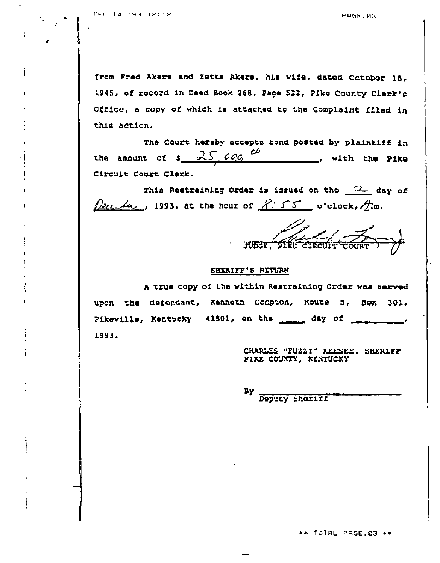$\mathcal{L}(\mathcal{L})$ 

PRGF. WH

from Fred Akers and Zetta Aksra, hia wife. dated Ocrohor 18, 1945, of record in Daed Book 268, Page 522, Pike County Clerk's Office, <sup>a</sup> copy of which is atrached to the Complaint filed in this action.

The Court hereby accepts bond posted by plaintiff in the amount of  $s = 2500q$  cf with the Pike Circuit Court Clerk.

This Restraining Order is issued on the 2 day of  $\Omega$ 2 $\Omega$ , 1993, at the hour of  $R: 55$  o'clock,  $\Lambda$ m.

MJ ~--Y,  $\frac{P.S.S}{P.S.S.}$  o'clock,  $\frac{A}{A}$ .

# SHERIFF'8 RETURN

h true copy of the within Restraining Order was sacred upon the defendant, Kenneth Compton, Route 5, Box 301, Pikeville, Kentucky 41501, on the \_\_\_\_\_ day of \_\_\_\_\_\_\_\_\_\_, <sup>1993</sup>'KRRLEs "Fvzzx" KEEsEE. sKERIFF

PIKE COUNTY, KENTUCKY

By Deputy sheriff

\*\* TOTAL PAGE.03 \*\*